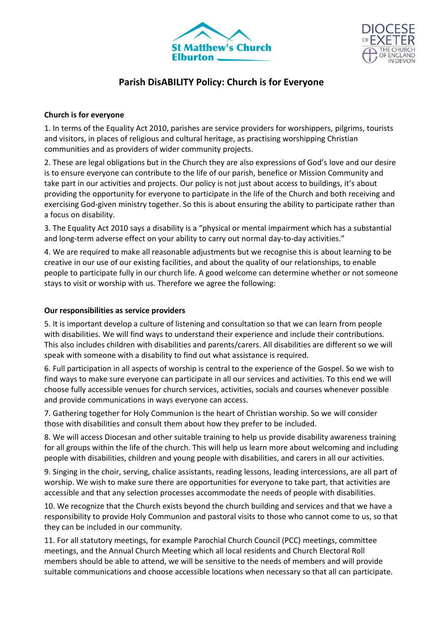



# **Parish DisABILITY Policy: Church is for Everyone**

### **Church is for everyone**

1. In terms of the Equality Act 2010, parishes are service providers for worshippers, pilgrims, tourists and visitors, in places of religious and cultural heritage, as practising worshipping Christian communities and as providers of wider community projects.

2. These are legal obligations but in the Church they are also expressions of God's love and our desire is to ensure everyone can contribute to the life of our parish, benefice or Mission Community and take part in our activities and projects. Our policy is not just about access to buildings, it's about providing the opportunity for everyone to participate in the life of the Church and both receiving and exercising God-given ministry together. So this is about ensuring the ability to participate rather than a focus on disability.

3. The Equality Act 2010 says a disability is a "physical or mental impairment which has a substantial and long-term adverse effect on your ability to carry out normal day-to-day activities."

4. We are required to make all reasonable adjustments but we recognise this is about learning to be creative in our use of our existing facilities, and about the quality of our relationships, to enable people to participate fully in our church life. A good welcome can determine whether or not someone stays to visit or worship with us. Therefore we agree the following:

## **Our responsibilities as service providers**

5. It is important develop a culture of listening and consultation so that we can learn from people with disabilities. We will find ways to understand their experience and include their contributions. This also includes children with disabilities and parents/carers. All disabilities are different so we will speak with someone with a disability to find out what assistance is required.

6. Full participation in all aspects of worship is central to the experience of the Gospel. So we wish to find ways to make sure everyone can participate in all our services and activities. To this end we will choose fully accessible venues for church services, activities, socials and courses whenever possible and provide communications in ways everyone can access.

7. Gathering together for Holy Communion is the heart of Christian worship. So we will consider those with disabilities and consult them about how they prefer to be included.

8. We will access Diocesan and other suitable training to help us provide disability awareness training for all groups within the life of the church. This will help us learn more about welcoming and including people with disabilities, children and young people with disabilities, and carers in all our activities.

9. Singing in the choir, serving, chalice assistants, reading lessons, leading intercessions, are all part of worship. We wish to make sure there are opportunities for everyone to take part, that activities are accessible and that any selection processes accommodate the needs of people with disabilities.

10. We recognize that the Church exists beyond the church building and services and that we have a responsibility to provide Holy Communion and pastoral visits to those who cannot come to us, so that they can be included in our community.

11. For all statutory meetings, for example Parochial Church Council (PCC) meetings, committee meetings, and the Annual Church Meeting which all local residents and Church Electoral Roll members should be able to attend, we will be sensitive to the needs of members and will provide suitable communications and choose accessible locations when necessary so that all can participate.